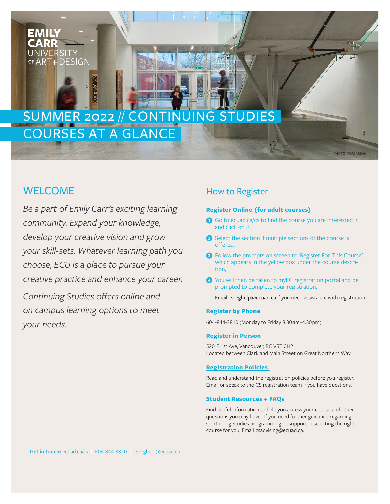# **EMILY** CARR **UNIVERSITY** OF ART+ DESIGN

# COURSES AT A GLANCE SUMMER 2022 // CONTINUING STUDIES

# WELCOME

*Be a part of Emily Carr's exciting learning community. Expand your knowledge, develop your creative vision and grow your skill-sets. Whatever learning path you choose, ECU is a place to pursue your creative practice and enhance your career.*

*Continuing Studies offers online and on campus learning options to meet your needs.*

# How to Register

# **Register Online (for adult courses)**

**1** Go to ecuad.ca/cs to find the course you are interested in and click on it,

PHOTO: TOM ARBAN

- **2** Select the section if multiple sections of the course is offered,
- **3** Follow the prompts on screen to 'Register For This Course' which appears in the yellow box under the course descrition,
- **4** You will then be taken to myEC registration portal and be prompted to complete your registration.

Email csreghelp@ecuad.ca if you need assistance with registration.

# **Register by Phone**

604-844-3810 (Monday to Friday 8:30 am–4:30 pm)

# **Register in Person**

520 E 1st Ave, Vancouver, BC V5T 0H2 Located between Clark and Main Street on Great Northern Way.

# **[Registration Policies](https://www.ecuad.ca/academics/continuing-studies/continuing-studies-policies)**

Read and understand the registration policies before you register. Email or speak to the CS registration team if you have questions.

# **[Student Resources + FAQs](https://www.ecuad.ca/academics/continuing-studies/new-student)**

Find useful information to help you access your course and other questions you may have. If you need further guidance regarding Continuing Studies programming or support in selecting the right course for you, Email csadvising@ecuad.ca.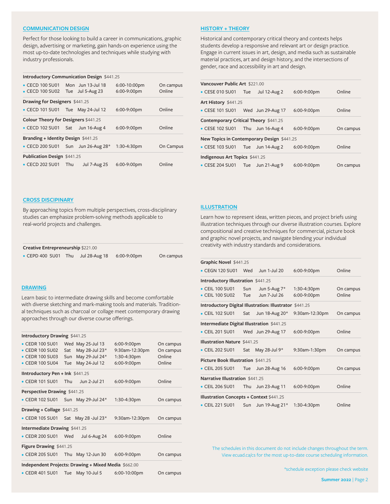#### **[COMMUNICATION DESIGN](https://www.ecuad.ca/academics/continuing-studies/topic/design-courses/communication)**

Perfect for those looking to build a career in communications, graphic design, advertising or marketing, gain hands-on experience using the most up-to-date technologies and techniques while studying with industry professionals.

| Introductory Communication Design \$441.25 |                                       |                     |              |           |  |  |  |
|--------------------------------------------|---------------------------------------|---------------------|--------------|-----------|--|--|--|
| • CECD 100 SU01 Mon Jun 13-Jul 18          |                                       |                     | 6:00-10:00pm | On campus |  |  |  |
| • CECD 100 SU02 Tue Jul 5-Aug 23           |                                       |                     | 6:00-9:00pm  | Online    |  |  |  |
|                                            | <b>Drawing for Designers \$441.25</b> |                     |              |           |  |  |  |
| • CECD 101 SU01 Tue May 24-Jul 12          |                                       |                     | 6:00-9:00pm  | Online    |  |  |  |
|                                            | Colour Theory for Designers \$441.25  |                     |              |           |  |  |  |
| • CECD 102 SU01 Sat                        |                                       | Jun 16-Aug 4        | 6:00-9:00pm  | Online    |  |  |  |
| Branding + Identity Design \$441.25        |                                       |                     |              |           |  |  |  |
| • CECD 200 SU01 Sun Jun 26-Aug 28*         |                                       |                     | 1:30-4:30pm  | On Campus |  |  |  |
| <b>Publication Design \$441.25</b>         |                                       |                     |              |           |  |  |  |
| • CECD 202 SU01                            | Thu                                   | <b>Jul 7-Aug 25</b> | 6:00-9:00pm  | Online    |  |  |  |

## **[HISTORY + THEORY](https://www.ecuad.ca/academics/continuing-studies/topic/pro-practice-theory-courses/history-theory)**

Historical and contemporary critical theory and contexts helps students develop a responsive and relevant art or design practice. Engage in current issues in art, design, and media such as sustainable material practices, art and design history, and the intersections of gender, race and accessibility in art and design.

| Vancouver Public Art \$221.00              |                                       |                     |             |           |  |  |
|--------------------------------------------|---------------------------------------|---------------------|-------------|-----------|--|--|
| • CESE 010 SU01 Tue                        |                                       | <b>Jul 12-Aug 2</b> | 6:00-9:00pm | Online    |  |  |
| Art History \$441.25                       |                                       |                     |             |           |  |  |
| • CESE 101 SU01 Wed Jun 29-Aug 17          |                                       |                     | 6:00-9:00pm | Online    |  |  |
|                                            | Contemporary Critical Theory \$441.25 |                     |             |           |  |  |
| • CESE 102 SU01 Thu Jun 16-Aug 4           |                                       |                     | 6:00-9:00pm | On campus |  |  |
| New Topics in Contemporary Design \$441.25 |                                       |                     |             |           |  |  |
| • CESE 103 SU01 Tue Jun 14-Aug 2           |                                       |                     | 6:00-9:00pm | Online    |  |  |
| Indigenous Art Topics \$441.25             |                                       |                     |             |           |  |  |
| $\bullet$ CESE 204 SU01 Tue                |                                       | Jun 21-Aug 9        | 6:00-9:00pm | On campus |  |  |

#### **[CROSS DISCIPINARY](https://www.ecuad.ca/academics/continuing-studies/topic/pro-practice-theory-courses/cross-disc)**

By approaching topics from multiple perspectives, cross-disciplinary studies can emphasize problem-solving methods applicable to real-world projects and challenges.

| Creative Entrepreneurship \$221.00 |     |               |             |           |  |
|------------------------------------|-----|---------------|-------------|-----------|--|
| $\bullet$ CEPD 400 SU01            | Thu | Jul 28-Aug 18 | 6:00-9:00pm | On campus |  |

## **[DRAWING](https://www.ecuad.ca/academics/continuing-studies/topic/art-courses/drawing)**

Learn basic to intermediate drawing skills and become comfortable with diverse sketching and mark-making tools and materials. Traditional techniques such as charcoal or collage meet contemporary drawing approaches through our diverse course offerings.

| Introductory Drawing \$441.25 |  |  |
|-------------------------------|--|--|
|-------------------------------|--|--|

| • CEDR 100 SU01                                      |     | Wed May 25-Jul 13   | 6:00-9:00pm    | On campus |
|------------------------------------------------------|-----|---------------------|----------------|-----------|
| • CEDR 100 SU02                                      | Sat | May 28-Jul 23*      | 9:30am-12:30pm | On campus |
| • CEDR 100 SU03                                      | Sun | May 29-Jul 24*      | 1:30-4:30pm    | Online    |
| • CEDR 100 SU04                                      | Tue | May 24-Jul 12       | 6:00-9:00pm    | Online    |
| <b>IIntroductory Pen + Ink \$441.25</b>              |     |                     |                |           |
| • CEDR 101 SU01                                      | Thu | Jun 2-Jul 21        | 6:00-9:00pm    | Online    |
| Perspective Drawing \$441.25                         |     |                     |                |           |
| • CEDR 102 SU01 Sun May 29-Jul 24*                   |     |                     | 1:30-4:30pm    | On campus |
| Drawing + Collage \$441.25                           |     |                     |                |           |
| • CEDR 105 SU01 Sat May 28 -Jul 23*                  |     |                     | 9:30am-12:30pm | On campus |
| Intermediate Drawing \$441.25                        |     |                     |                |           |
| • CEDR 200 SU01                                      | Wed | <b>Jul 6-Aug 24</b> | 6:00-9:00pm    | Online    |
| Figure Drawing \$441.25                              |     |                     |                |           |
| • CEDR 205 SU01 Thu May 12-Jun 30                    |     |                     | 6:00-9:00pm    | On campus |
| Independent Projects: Drawing + Mixed Media \$662.00 |     |                     |                |           |
| • CEDR 401 SU01 Tue May 10-Jul 5                     |     |                     | 6:00-10:00pm   | On campus |

# **[ILLUSTRATION](https://www.ecuad.ca/academics/continuing-studies/topic/art-courses/illustration)**

Learn how to represent ideas, written pieces, and project briefs using illustration techniques through our diverse illustration courses. Explore compositional and creative techniques for commercial, picture book and graphic novel projects, and navigate blending your individual creativity with industry standards and considerations.

| Graphic Novel \$441.25                                  |                   |                              |                            |                     |
|---------------------------------------------------------|-------------------|------------------------------|----------------------------|---------------------|
| • CEGN 120 SU01                                         | Wed               | Jun 1-Jul 20                 | 6:00-9:00pm                | Online              |
| <b>Introductory Illustration \$441.25</b>               |                   |                              |                            |                     |
| • CEIL 100 SU01<br>• CEIL 100 SU02                      | Sun<br><b>Tue</b> | Jun 5-Aug 7*<br>Jun 7-Jul 26 | 1:30-4:30pm<br>6:00-9:00pm | On campus<br>Online |
| Introductory Digital Illustration: Illustrator \$441.25 |                   |                              |                            |                     |
| • CEIL 102 SU01                                         | Sat               | Jun 18-Aug 20*               | 9:30am-12:30pm             | On campus           |
| Intermediate Digital Illustration \$441.25              |                   |                              |                            |                     |
| • CEIL 201 SU01                                         |                   | Wed Jun 29-Aug 17            | 6:00-9:00pm                | Online              |
| <b>Illustration Nature \$441.25</b>                     |                   |                              |                            |                     |
| • CEIL 202 SU01                                         | Sat               | May 28-Jul 9*                | 9:30am-1:30pm              | On campus           |
| Picture Book Illustration \$441.25                      |                   |                              |                            |                     |
| • CEIL 205 SU01                                         | Tue               | Jun 28-Aug 16                | 6:00-9:00pm                | On campus           |
| Narrative Illustration \$441.25                         |                   |                              |                            |                     |
| • CEIL 206 SU01                                         | Thu               | Jun 23-Aug 11                | 6:00-9:00pm                | Online              |
| <b>Illustration Concepts + Context \$441.25</b>         |                   |                              |                            |                     |
| • CEIL 221 SU01                                         | Sun               | Jun 19-Aug 21*               | 1:30-4:30pm                | Online              |

The schedules in this document do not include changes throughout the term. View ecuad.ca/cs for the most up-to-date course scheduling information.

\*schedule exception please check website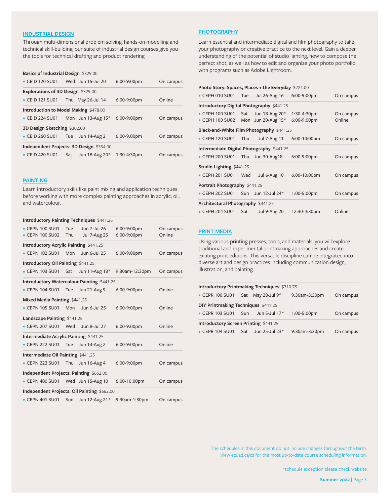## **[INDUSTRIAL DESIGN](https://www.ecuad.ca/academics/continuing-studies/topic/design-courses/industrial)**

Through multi-dimensional problem solving, hands-on modelling and technical skill-building, our suite of industrial design courses give you the tools for technical drafting and product rendering.

| Basics of Industrial Design \$329.00     |                                       |                       |             |           |  |  |
|------------------------------------------|---------------------------------------|-----------------------|-------------|-----------|--|--|
| • CEID 120 SU01                          |                                       | Wed Jun 15-Jul 20     | 6:00-9:00pm | On campus |  |  |
| Explorations of 3D Design \$329.00       |                                       |                       |             |           |  |  |
| • CEID 121 SU01                          |                                       | Thu May 26-Jul 14     | 6:00-9:00pm | Online    |  |  |
|                                          | Introduction to Model Making \$478.00 |                       |             |           |  |  |
| • CEID 224 SU01                          |                                       | Mon Jun 13-Aug $15^*$ | 6:00-9:00pm | On campus |  |  |
| 3D Design Sketching \$302.00             |                                       |                       |             |           |  |  |
| • CEID 260 SU01                          | Tue                                   | Jun 14-Aug 2          | 6:00-9:00pm | On campus |  |  |
| Independent Projects: 3D Design \$354.00 |                                       |                       |             |           |  |  |
| • CEID 420 SU01                          | Sat                                   | Jun 18-Aug 20*        | 1:30-4:30pm | On campus |  |  |

# **[PAINTING](https://www.ecuad.ca/academics/continuing-studies/topic/art-courses/painting)**

Learn introductory skills like paint mixing and application techniques before working with more complex painting approaches in acrylic, oil, and watercolour.

| <b>Introductory Painting Techniques \$441.25</b> |                   |                                     |                            |                     |  |  |
|--------------------------------------------------|-------------------|-------------------------------------|----------------------------|---------------------|--|--|
| • CEPN 100 SU01<br>$\bullet$ CEPN 100 SU02       | <b>Tue</b><br>Thu | Jun 7-Jul 26<br><b>Jul 7-Aug 25</b> | 6:00-9:00pm<br>6:00-9:00pm | On campus<br>Online |  |  |
| Introductory Acrylic Painting \$441.25           |                   |                                     |                            |                     |  |  |
| • CEPN 102 SU01                                  | Mon               | Jun 6-Jul 25                        | 6:00-9:00pm                | On campus           |  |  |
| Introductory Oil Painting \$441.25               |                   |                                     |                            |                     |  |  |
| • CEPN 103 SU01                                  | Sat               | Jun 11-Aug 13*                      | 9:30am-12:30pm             | On campus           |  |  |
| Introductory Watercolour Painting \$441.25       |                   |                                     |                            |                     |  |  |
| • CEPN 104 SU01                                  | Tue               | Jun 21-Aug 9                        | 6:00-9:00pm                | Online              |  |  |
| Mixed Media Painting \$441.25                    |                   |                                     |                            |                     |  |  |
| • CEPN 105 SU01                                  | Mon               | Jun 6-Jul 25                        | 6:00-9:00pm                | Online              |  |  |
| Landscape Painting \$441.25                      |                   |                                     |                            |                     |  |  |
| • CEPN 207 SU01                                  | Wed               | Jun 8-Jul 27                        | 6:00-9:00pm                | Online              |  |  |
| Intermediate Acrylic Painting \$441.25           |                   |                                     |                            |                     |  |  |
| • CEPN 222 SU01                                  | Tue               | <b>Jun 14-Aug 2</b>                 | 6:00-9:00pm                | Online              |  |  |
| Intermediate Oil Painting \$441.25               |                   |                                     |                            |                     |  |  |
| • CEPN 223 SU01                                  | Thu               | Jun 16-Aug 4                        | 6:00-9:00pm                | On campus           |  |  |
| Independent Projects: Painting \$662.00          |                   |                                     |                            |                     |  |  |
| • CEPN 400 SU01                                  |                   | Wed Jun 15-Aug 10                   | 6:00-10:00pm               | On campus           |  |  |
| Independent Projects: Oil Painting \$662.00      |                   |                                     |                            |                     |  |  |
| • CEPN 401 SU01                                  | Sun               | Jun 12-Aug 21*                      | 9:30am-1:30pm              | On campus           |  |  |

# **[PHOTOGRAPHY](https://www.ecuad.ca/academics/continuing-studies/topic/art-courses/photography)**

Learn essential and intermediate digital and film photography to take your photography or creative practice to the next level. Gain a deeper understanding of the potential of studio lighting, how to compose the perfect shot, as well as how to edit and organize your photo portfolio with programs such as Adobe Lightroom.

| Photo Story: Spaces, Places + the Everyday \$221.00 |                                           |                     |              |           |  |  |  |
|-----------------------------------------------------|-------------------------------------------|---------------------|--------------|-----------|--|--|--|
| $\bullet$ CEPH 010 SU01                             | Tue                                       | Jul 26-Aug 16       | 6:00-9:00pm  | On campus |  |  |  |
|                                                     | Introductory Digital Photography \$441.25 |                     |              |           |  |  |  |
| $\bullet$ CEPH 100 SU01                             | Sat                                       | Jun 18-Aug 20*      | 1:30-4:30pm  | On campus |  |  |  |
| $\bullet$ CEPH 100 SU02                             | Mon                                       | Jun 20-Aug 15*      | 6:00-9:00pm  | Online    |  |  |  |
| Black-and-White Film Photography \$441.25           |                                           |                     |              |           |  |  |  |
| • CEPH 120 SU01                                     | Thu                                       | <b>Jul 7-Aug 11</b> | 6:00-10:00pm | On campus |  |  |  |
| <b>Intermediate Digital Photography \$441.25</b>    |                                           |                     |              |           |  |  |  |
| $\bullet$ CEPH 200 SU01                             | Thu                                       | Jun 30-Aug18        | 6:00-9:00pm  | On campus |  |  |  |
| <b>Studio Lighting \$441.25</b>                     |                                           |                     |              |           |  |  |  |
| • CEPH 201 SU01                                     | Wed                                       | <b>Jul 6-Aug 10</b> | 6:00-10:00pm | On campus |  |  |  |
| Portrait Photography \$441.25                       |                                           |                     |              |           |  |  |  |
| $\bullet$ CEPH 202 SU01                             | Sun                                       | Jun 12-Jul 24*      | 1:00-5:00pm  | On campus |  |  |  |
| Architectural Photography \$441.25                  |                                           |                     |              |           |  |  |  |
| • CEPH 204 SU01                                     | Sat                                       | <b>Jul 9-Aug 20</b> | 12:30-4:30pm | Online    |  |  |  |

## **[PRINT MEDIA](https://www.ecuad.ca/academics/continuing-studies/topic/art-courses/print-media)**

Using various printing presses, tools, and materials, you will explore traditional and experimental printmaking approaches and create exciting print editions. This versatile discipline can be integrated into diverse art and design practices including communication design, illustration, and painting.

| Introductory Printmaking Techniques \$710.75 |                                              |                     |               |           |  |  |  |
|----------------------------------------------|----------------------------------------------|---------------------|---------------|-----------|--|--|--|
| • CEPR 100 SU01                              |                                              | Sat May 28-Jul 9*   | 9:30am-3:30pm | On campus |  |  |  |
| DIY Printmaking Techniques \$441.25          |                                              |                     |               |           |  |  |  |
| • CEPR 103 SU01                              | <b>Sun</b>                                   | Jun 5-Jul 17*       | 1:00-5:00pm   | On campus |  |  |  |
|                                              | <b>Introductory Screen Printing \$441.25</b> |                     |               |           |  |  |  |
| • CEPR 104 SU01                              | Sat                                          | Jun $25$ -Jul $23*$ | 9:30am-3:30pm | On campus |  |  |  |

The schedules in this document do not include changes throughout the term. View ecuad.ca/cs for the most up-to-date course scheduling information.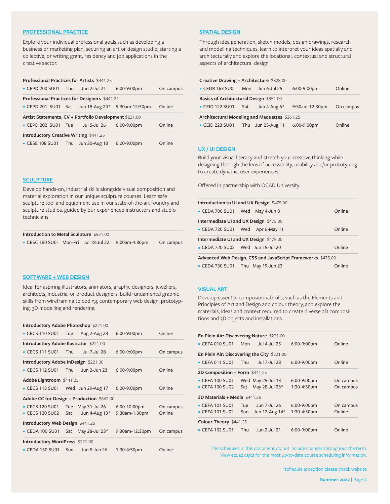## **[PROFESSIONAL PRACTICE](https://www.ecuad.ca/academics/continuing-studies/topic/pro-practice-theory-courses/professional-practices)**

Explore your individual professional goals such as developing a business or marketing plan, securing an art or design studio, starting a collective, or writing grant, residency and job applications in the creative sector.

| Professional Practices for Artists \$441.25            |                                               |               |                               |           |  |  |  |
|--------------------------------------------------------|-----------------------------------------------|---------------|-------------------------------|-----------|--|--|--|
| • CEPD 200 SU01                                        | Thu                                           | Jun 2-Jul 21  | 6:00-9:00pm                   | On campus |  |  |  |
|                                                        | Professional Practices for Designers \$441.21 |               |                               |           |  |  |  |
| • CEPD 201 SU01 Sat                                    |                                               |               | Jun 18-Aug 20* 9:30am-12:30pm | Online    |  |  |  |
| Artist Statements, CV + Portfolio Development \$221.00 |                                               |               |                               |           |  |  |  |
| $\bullet$ CEPD 202 SU01                                | Tue                                           | Jul 5-Jul 26  | 6:00-9:00pm                   | Online    |  |  |  |
| <b>Introductory Creative Writing \$441.25</b>          |                                               |               |                               |           |  |  |  |
| • CESE 108 SU01                                        | Thu                                           | Jun 30-Aug 18 | 6:00-9:00pm                   | Online    |  |  |  |

#### **[SCULPTURE](https://www.ecuad.ca/academics/continuing-studies/topic/art-courses/sculpture)**

Develop hands-on, industrial skills alongside visual composition and material exploration in our unique sculpture courses. Learn safe sculpture tool and equipment use in our state-of-the-art foundry and sculpture studios, guided by our experienced instructors and studio technicians.

| <b>Introduction to Metal Sculpture \$551.00</b> |  |  |               |           |  |
|-------------------------------------------------|--|--|---------------|-----------|--|
| • CESC 180 SU01 Mon-Fri Jul 18-Jul 22           |  |  | 9:00am-4:30pm | On campus |  |

#### **[SOFTWARE + WEB DESIGN](https://www.ecuad.ca/academics/continuing-studies/topic/design-courses/software-web)**

Ideal for aspiring illustrators, animators, graphic designers, jewellers, architects, industrial or product designers, build fundamental graphic skills from wireframing to coding, contemporary web design, prototyping, 3D modelling and rendering.

| <b>Introductory Adobe Photoshop \$221.00</b> |                                      |                                |                               |                     |  |  |
|----------------------------------------------|--------------------------------------|--------------------------------|-------------------------------|---------------------|--|--|
| $\bullet$ CECS 110 SU01                      | Tue                                  | Aug 2-Aug 23                   | 6:00-9:00pm                   | Online              |  |  |
| Introductory Adobe Ilustrator \$221.00       |                                      |                                |                               |                     |  |  |
| $\bullet$ CECS 111 SU01                      | Thu                                  | Jul 7-Jul 28                   | 6:00-9:00pm                   | On campus           |  |  |
|                                              | Introductory Adobe InDesign \$221.00 |                                |                               |                     |  |  |
| • CECS 112 SU01                              | Thu                                  | Jun 2-Jun 23                   | 6:00-9:00pm                   | Online              |  |  |
| Adobe Lightroom \$441.25                     |                                      |                                |                               |                     |  |  |
| • CECS 113 SU01 Wed Jun 29-Aug 17            |                                      |                                | 6:00-9:00pm                   | Online              |  |  |
| Adobe CC for Design + Production \$662.00    |                                      |                                |                               |                     |  |  |
| • CECS 120 SU01<br>• CECS 120 SU02           | <b>Tue</b><br>Sat                    | May 31-Jul 26<br>Jun 4-Aug 13* | 6:00-10:00pm<br>9:30am-1:30pm | On campus<br>Online |  |  |
| Introductory Web Design \$441.25             |                                      |                                |                               |                     |  |  |
| • CEDA 100 SU01                              | Sat                                  | May 28-Jul 23*                 | 9:30am-12:30pm                | On campus           |  |  |
| Introductory WordPress \$221.00              |                                      |                                |                               |                     |  |  |
| • CEDA 150 SU01                              | Sun                                  | Jun 5-Jun 26                   | 1:30-4:30pm                   | Online              |  |  |

# **[SPATIAL DESIGN](https://www.ecuad.ca/academics/continuing-studies/topic/design-courses/spatial)**

Through idea generation, sketch models, design drawings, research and modelling techniques, learn to interpret your ideas spatially and architecturally and explore the locational, contextual and structural aspects of architectural design.

| Creative Drawing + Architecture \$328.00      |     |                |                |           |  |  |
|-----------------------------------------------|-----|----------------|----------------|-----------|--|--|
| • CEDR 163 SU01                               | Mon | Jun 6-Jul 25   | 6:00-9:00pm    | Online    |  |  |
| Basics of Architectural Design \$351.00       |     |                |                |           |  |  |
| • CEID 122 SU01                               | Sat | Jun 4-Aug $6*$ | 9:30am-12:30pm | On campus |  |  |
| Architectural Modeling and Maquettes \$361.25 |     |                |                |           |  |  |
| • CEID 223 SU01                               | Thu | Jun 23-Aug 11  | 6:00-9:00pm    | Online    |  |  |

#### **[UX / UI DESIGN](https://www.ecuad.ca/academics/continuing-studies/topic/design-courses/ux-ui)**

Build your visual literacy and stretch your creative thinking while designing through the lens of accessibility, usability and/or prototyping to create dynamic user experiences.

Offered in partnership with OCAD University.

| Introduction to UI and UX Design \$475.00                   |  |  |        |  |  |
|-------------------------------------------------------------|--|--|--------|--|--|
| • CEDA 700 SU01 Wed May 4-Jun 8                             |  |  | Online |  |  |
| Intermediate UI and UX Design \$475.00                      |  |  |        |  |  |
| • CEDA 720 SU01 Wed Apr 6-May 11                            |  |  | Online |  |  |
| Intermediate UI and UX Design \$475.00                      |  |  |        |  |  |
| • CEDA 720 SU02 Wed Jun 15-Jul 20                           |  |  | Online |  |  |
| Advanced Web Design, CSS and JavaScript Frameworks \$475.00 |  |  |        |  |  |
| • CEDA 730 SU01 Thu May 19-Jun 23                           |  |  | Online |  |  |

#### **[VISUAL ART](https://www.ecuad.ca/academics/continuing-studies/topic/art-courses/visual-art)**

Develop essential compositional skills, such as the Elements and Principles of Art and Design and colour theory, and explore the materials, ideas and context required to create diverse 2D compositions and 3D objects and installations.

| En Plein Air: Discovering Nature \$221.00 |                                             |                   |             |           |  |  |  |
|-------------------------------------------|---------------------------------------------|-------------------|-------------|-----------|--|--|--|
| • CEFA 010 SU01                           | Mon                                         | Jul 4-Jul 25      | 6:00-9:00pm | Online    |  |  |  |
|                                           | En Plein Air: Discovering the City \$221.00 |                   |             |           |  |  |  |
| • CEFA 011 SU01                           | Thu                                         | Jul 7-Jul 28      | 6:00-9:00pm | Online    |  |  |  |
| 2D Composition + Form \$441.25            |                                             |                   |             |           |  |  |  |
| • CEFA 100 SU01                           |                                             | Wed May 25-Jul 13 | 6:00-9:00pm | On campus |  |  |  |
| • CEFA 100 SU02                           | Sat                                         | May 28-Jul 23*    | 1:30-4:30pm | On campus |  |  |  |
| 3D Materials + Media $$441.25$            |                                             |                   |             |           |  |  |  |
| • CEFA 101 SU01                           | <b>Tue</b>                                  | Jun 7-Jul 26      | 6:00-9:00pm | On campus |  |  |  |
| • CEFA 101 SU02                           | Sun                                         | Jun 12-Aug 14*    | 1:30-4:30pm | Online    |  |  |  |
| Colour Theory \$441.25                    |                                             |                   |             |           |  |  |  |
| • CEFA 102 SU01                           | Thu                                         | Jun 2-Jul 21      | 6:00-9:00pm | Online    |  |  |  |

The schedules in this document do not include changes throughout the term. View ecuad.ca/cs for the most up-to-date course scheduling information.

\*schedule exception please check website